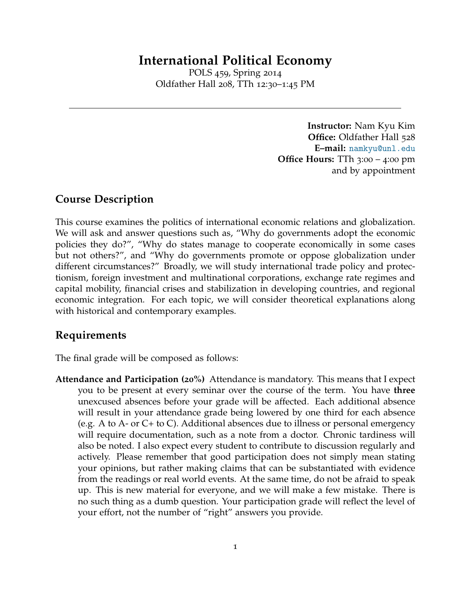# **International Political Economy**

POLS 459, Spring 2014 Oldfather Hall 208, TTh 12:30–1:45 PM

> **Instructor:** Nam Kyu Kim **Office:** Oldfather Hall 528 **E–mail:** [namkyu@unl.edu](mailto:namkyu@unl.edu) **Office Hours:** TTh 3:00 – 4:00 pm and by appointment

# **Course Description**

This course examines the politics of international economic relations and globalization. We will ask and answer questions such as, "Why do governments adopt the economic policies they do?", "Why do states manage to cooperate economically in some cases but not others?", and "Why do governments promote or oppose globalization under different circumstances?" Broadly, we will study international trade policy and protectionism, foreign investment and multinational corporations, exchange rate regimes and capital mobility, financial crises and stabilization in developing countries, and regional economic integration. For each topic, we will consider theoretical explanations along with historical and contemporary examples.

# **Requirements**

The final grade will be composed as follows:

**Attendance and Participation (20%)** Attendance is mandatory. This means that I expect you to be present at every seminar over the course of the term. You have **three** unexcused absences before your grade will be affected. Each additional absence will result in your attendance grade being lowered by one third for each absence (e.g. A to A- or C+ to C). Additional absences due to illness or personal emergency will require documentation, such as a note from a doctor. Chronic tardiness will also be noted. I also expect every student to contribute to discussion regularly and actively. Please remember that good participation does not simply mean stating your opinions, but rather making claims that can be substantiated with evidence from the readings or real world events. At the same time, do not be afraid to speak up. This is new material for everyone, and we will make a few mistake. There is no such thing as a dumb question. Your participation grade will reflect the level of your effort, not the number of "right" answers you provide.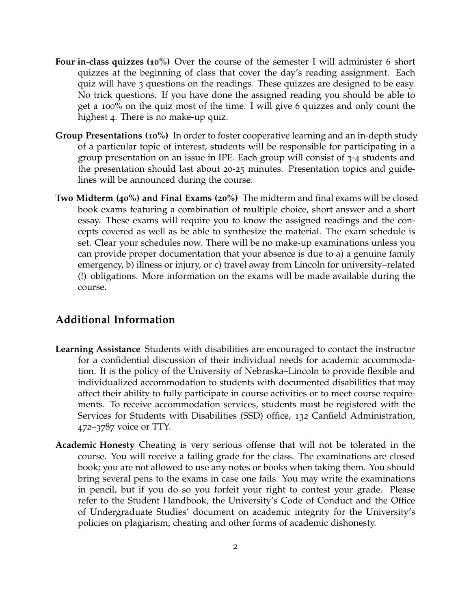- **Four in-class quizzes (10%)** Over the course of the semester I will administer 6 short quizzes at the beginning of class that cover the day's reading assignment. Each quiz will have 3 questions on the readings. These quizzes are designed to be easy. No trick questions. If you have done the assigned reading you should be able to get a 100% on the quiz most of the time. I will give 6 quizzes and only count the highest 4. There is no make-up quiz.
- **Group Presentations (10%)** In order to foster cooperative learning and an in-depth study of a particular topic of interest, students will be responsible for participating in a group presentation on an issue in IPE. Each group will consist of 3-4 students and the presentation should last about 20-25 minutes. Presentation topics and guidelines will be announced during the course.
- **Two Midterm (40%) and Final Exams (20%)** The midterm and final exams will be closed book exams featuring a combination of multiple choice, short answer and a short essay. These exams will require you to know the assigned readings and the concepts covered as well as be able to synthesize the material. The exam schedule is set. Clear your schedules now. There will be no make-up examinations unless you can provide proper documentation that your absence is due to a) a genuine family emergency, b) illness or injury, or c) travel away from Lincoln for university–related (!) obligations. More information on the exams will be made available during the course.

# **Additional Information**

- **Learning Assistance** Students with disabilities are encouraged to contact the instructor for a confidential discussion of their individual needs for academic accommodation. It is the policy of the University of Nebraska–Lincoln to provide flexible and individualized accommodation to students with documented disabilities that may affect their ability to fully participate in course activities or to meet course requirements. To receive accommodation services, students must be registered with the Services for Students with Disabilities (SSD) office, 132 Canfield Administration, 472–3787 voice or TTY.
- **Academic Honesty** Cheating is very serious offense that will not be tolerated in the course. You will receive a failing grade for the class. The examinations are closed book; you are not allowed to use any notes or books when taking them. You should bring several pens to the exams in case one fails. You may write the examinations in pencil, but if you do so you forfeit your right to contest your grade. Please refer to the Student Handbook, the University's Code of Conduct and the Office of Undergraduate Studies' document on academic integrity for the University's policies on plagiarism, cheating and other forms of academic dishonesty.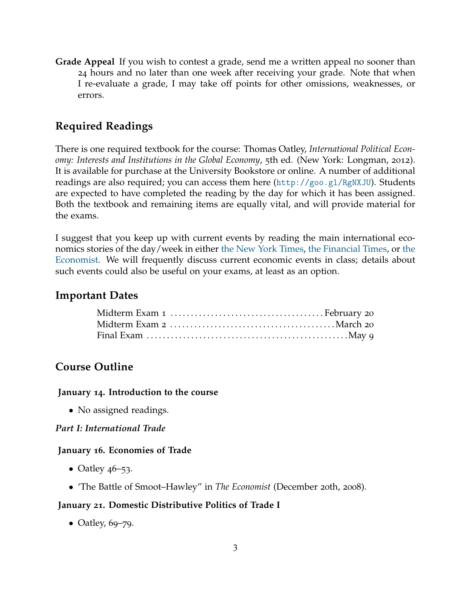**Grade Appeal** If you wish to contest a grade, send me a written appeal no sooner than 24 hours and no later than one week after receiving your grade. Note that when I re-evaluate a grade, I may take off points for other omissions, weaknesses, or errors.

# **Required Readings**

There is one required textbook for the course: Thomas Oatley, *International Political Economy: Interests and Institutions in the Global Economy*, 5th ed. (New York: Longman, 2012). It is available for purchase at the University Bookstore or online. A number of additional readings are also required; you can access them here  $(\text{http://geo.gl/RgNXJU}).$  Students are expected to have completed the reading by the day for which it has been assigned. Both the textbook and remaining items are equally vital, and will provide material for the exams.

I suggest that you keep up with current events by reading the main international economics stories of the day/week in either [the New York Times,](http://www.nytimes.com) [the Financial Times,](http://www.ft.com/) or [the](http://www.economist.com/) [Economist.](http://www.economist.com/) We will frequently discuss current economic events in class; details about such events could also be useful on your exams, at least as an option.

# **Important Dates**

# **Course Outline**

#### **January 14. Introduction to the course**

• No assigned readings.

#### *Part I: International Trade*

#### **January 16. Economies of Trade**

- Oatley  $46 53$ .
- 'The Battle of Smoot–Hawley" in *The Economist* (December 20th, 2008).

#### **January 21. Domestic Distributive Politics of Trade I**

• Oatley,  $69 - 79$ .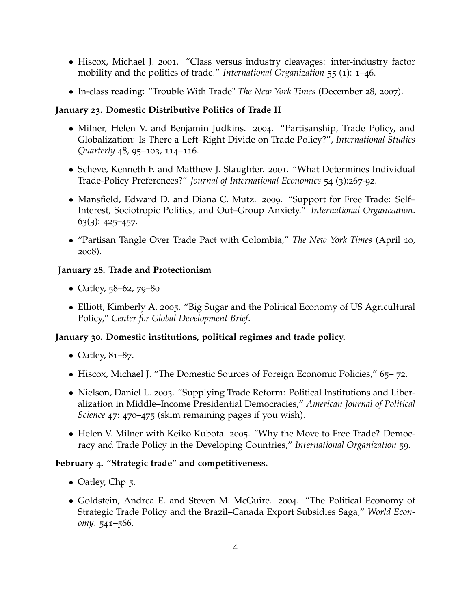- Hiscox, Michael J. 2001. "Class versus industry cleavages: inter-industry factor mobility and the politics of trade." *International Organization* 55 (1): 1–46.
- In-class reading: "Trouble With Trade" *The New York Times* (December 28, 2007).

### **January 23. Domestic Distributive Politics of Trade II**

- Milner, Helen V. and Benjamin Judkins. 2004. "Partisanship, Trade Policy, and Globalization: Is There a Left–Right Divide on Trade Policy?", *International Studies Quarterly* 48, 95–103, 114–116.
- Scheve, Kenneth F. and Matthew J. Slaughter. 2001. "What Determines Individual Trade-Policy Preferences?" *Journal of International Economics* 54 (3):267-92.
- Mansfield, Edward D. and Diana C. Mutz. 2009. "Support for Free Trade: Self– Interest, Sociotropic Politics, and Out–Group Anxiety." *International Organization*.  $63(3): 425 - 457.$
- "Partisan Tangle Over Trade Pact with Colombia," *The New York Times* (April 10, 2008).

# **January 28. Trade and Protectionism**

- Oatley, 58–62, 79–80
- Elliott, Kimberly A. 2005. "Big Sugar and the Political Economy of US Agricultural Policy," *Center for Global Development Brief*.

# **January 30. Domestic institutions, political regimes and trade policy.**

- Oatley,  $81–87$ .
- Hiscox, Michael J. "The Domestic Sources of Foreign Economic Policies," 65–72.
- Nielson, Daniel L. 2003. "Supplying Trade Reform: Political Institutions and Liberalization in Middle–Income Presidential Democracies," *American Journal of Political Science* 47: 470–475 (skim remaining pages if you wish).
- Helen V. Milner with Keiko Kubota. 2005. "Why the Move to Free Trade? Democracy and Trade Policy in the Developing Countries," *International Organization* 59.

#### **February 4. "Strategic trade" and competitiveness.**

- Oatley, Chp 5.
- Goldstein, Andrea E. and Steven M. McGuire. 2004. "The Political Economy of Strategic Trade Policy and the Brazil–Canada Export Subsidies Saga," *World Economy*. 541–566.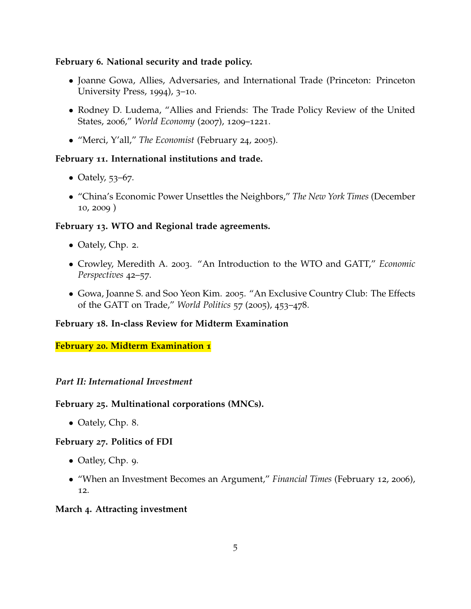#### **February 6. National security and trade policy.**

- Joanne Gowa, Allies, Adversaries, and International Trade (Princeton: Princeton University Press, 1994), 3–10.
- Rodney D. Ludema, "Allies and Friends: The Trade Policy Review of the United States, 2006," *World Economy* (2007), 1209–1221.
- "Merci, Y'all," *The Economist* (February 24, 2005).

#### **February 11. International institutions and trade.**

- Oately, 53–67.
- "China's Economic Power Unsettles the Neighbors," *The New York Times* (December 10, 2009 )

# **February 13. WTO and Regional trade agreements.**

- Oately, Chp. 2.
- Crowley, Meredith A. 2003. "An Introduction to the WTO and GATT," *Economic Perspectives* 42–57.
- Gowa, Joanne S. and Soo Yeon Kim. 2005. "An Exclusive Country Club: The Effects of the GATT on Trade," *World Politics* 57 (2005), 453–478.

#### **February 18. In-class Review for Midterm Examination**

#### **February 20. Midterm Examination 1**

#### *Part II: International Investment*

#### **February 25. Multinational corporations (MNCs).**

• Oately, Chp. 8.

#### **February 27. Politics of FDI**

- Oatley, Chp. 9.
- "When an Investment Becomes an Argument," *Financial Times* (February 12, 2006), 12.

#### **March 4. Attracting investment**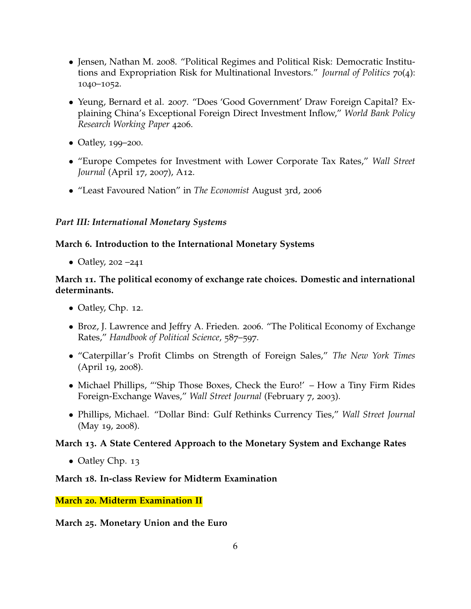- Jensen, Nathan M. 2008. "Political Regimes and Political Risk: Democratic Institutions and Expropriation Risk for Multinational Investors." *Journal of Politics* 70(4): 1040–1052.
- Yeung, Bernard et al. 2007. "Does 'Good Government' Draw Foreign Capital? Explaining China's Exceptional Foreign Direct Investment Inflow," *World Bank Policy Research Working Paper* 4206.
- Oatley, 199–200.
- "Europe Competes for Investment with Lower Corporate Tax Rates," *Wall Street Journal* (April 17, 2007), A12.
- "Least Favoured Nation" in *The Economist* August 3rd, 2006

#### *Part III: International Monetary Systems*

#### **March 6. Introduction to the International Monetary Systems**

• Oatley, 202 –241

# **March 11. The political economy of exchange rate choices. Domestic and international determinants.**

- Oatley, Chp. 12.
- Broz, J. Lawrence and Jeffry A. Frieden. 2006. "The Political Economy of Exchange Rates," *Handbook of Political Science*, 587–597.
- "Caterpillar's Profit Climbs on Strength of Foreign Sales," *The New York Times* (April 19, 2008).
- Michael Phillips, "'Ship Those Boxes, Check the Euro!' How a Tiny Firm Rides Foreign-Exchange Waves," *Wall Street Journal* (February 7, 2003).
- Phillips, Michael. "Dollar Bind: Gulf Rethinks Currency Ties," *Wall Street Journal* (May 19, 2008).

#### **March 13. A State Centered Approach to the Monetary System and Exchange Rates**

• Oatley Chp. 13

#### **March 18. In-class Review for Midterm Examination**

#### **March 20. Midterm Examination II**

#### **March 25. Monetary Union and the Euro**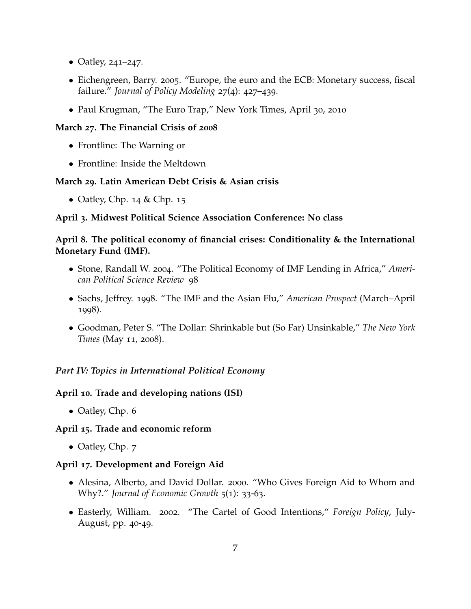- Oatley, 241–247.
- Eichengreen, Barry. 2005. "Europe, the euro and the ECB: Monetary success, fiscal failure." *Journal of Policy Modeling* 27(4): 427–439.
- Paul Krugman, "The Euro Trap," New York Times, April 30, 2010

### **March 27. The Financial Crisis of 2008**

- Frontline: The Warning or
- Frontline: Inside the Meltdown

# **March 29. Latin American Debt Crisis & Asian crisis**

• Oatley, Chp.  $14 &$  Chp.  $15$ 

# **April 3. Midwest Political Science Association Conference: No class**

### **April 8. The political economy of financial crises: Conditionality & the International Monetary Fund (IMF).**

- Stone, Randall W. 2004. "The Political Economy of IMF Lending in Africa," *American Political Science Review* 98
- Sachs, Jeffrey. 1998. "The IMF and the Asian Flu," *American Prospect* (March–April 1998).
- Goodman, Peter S. "The Dollar: Shrinkable but (So Far) Unsinkable," *The New York Times* (May 11, 2008).

# *Part IV: Topics in International Political Economy*

#### **April 10. Trade and developing nations (ISI)**

• Oatley, Chp. 6

#### **April 15. Trade and economic reform**

• Oatley, Chp. 7

#### **April 17. Development and Foreign Aid**

- Alesina, Alberto, and David Dollar. 2000. "Who Gives Foreign Aid to Whom and Why?." *Journal of Economic Growth* 5(1): 33-63.
- Easterly, William. 2002. "The Cartel of Good Intentions," *Foreign Policy*, July-August, pp. 40-49.